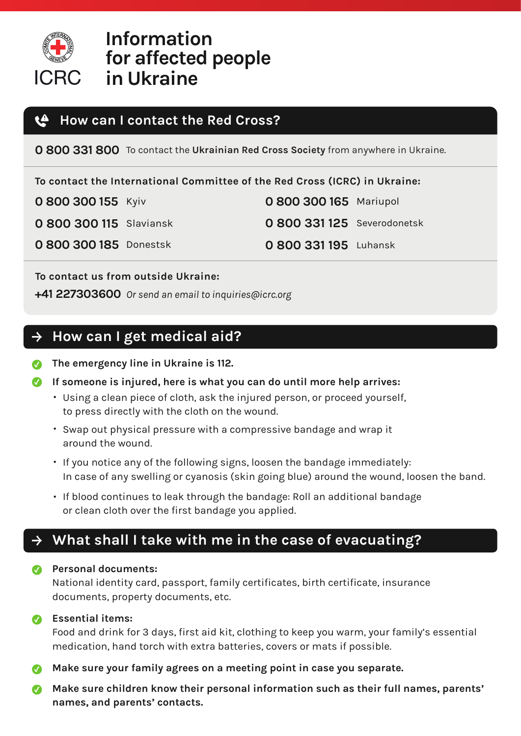

# **Information for affected people in Ukraine**

#### **How can I contact the Red Cross?** ŁÐ

**0 800 331 800** To contact the **Ukrainian Red Cross Society** from anywhere in Ukraine.

**To contact the International Committee of the Red Cross (ICRC) in Ukraine:**

| 0 800 300 155 Kyiv |  |  |  |  |  |
|--------------------|--|--|--|--|--|
|--------------------|--|--|--|--|--|

**0 800 300 115** Slaviansk **0 800 331 125** Severodonetsk

**0 800 300 185** Donestsk **0 800 331 195** Luhansk

**0 800 300 165** Mariupol

**To contact us from outside Ukraine:**

**+41 227303600** *Or send an email to inquiries@icrc.org*

## **How can I get medical aid?**

- **The emergency line in Ukraine is 112.**
- **If someone is injured, here is what you can do until more help arrives:**
	- Using a clean piece of cloth, ask the injured person, or proceed yourself, to press directly with the cloth on the wound.
	- Swap out physical pressure with a compressive bandage and wrap it around the wound.
	- If you notice any of the following signs, loosen the bandage immediately: In case of any swelling or cyanosis (skin going blue) around the wound, loosen the band.
	- If blood continues to leak through the bandage: Roll an additional bandage or clean cloth over the first bandage you applied.

## **What shall I take with me in the case of evacuating?**

### **Personal documents:**

National identity card, passport, family certificates, birth certificate, insurance documents, property documents, etc.

### **Essential items:**

Food and drink for 3 days, first aid kit, clothing to keep you warm, your family's essential medication, hand torch with extra batteries, covers or mats if possible.

- **Make sure your family agrees on a meeting point in case you separate.**
- **Make sure children know their personal information such as their full names, parents' names, and parents' contacts.**